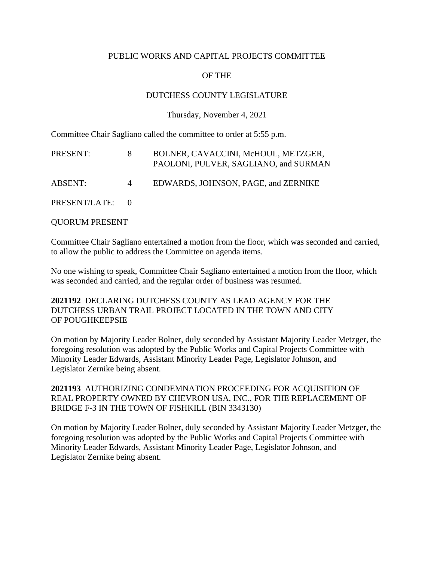## PUBLIC WORKS AND CAPITAL PROJECTS COMMITTEE

# OF THE

# DUTCHESS COUNTY LEGISLATURE

## Thursday, November 4, 2021

Committee Chair Sagliano called the committee to order at 5:55 p.m.

| PRESENT:        | 8 <sup>1</sup> | BOLNER, CAVACCINI, McHOUL, METZGER,<br>PAOLONI, PULVER, SAGLIANO, and SURMAN |
|-----------------|----------------|------------------------------------------------------------------------------|
| ABSENT:         | $\overline{4}$ | EDWARDS, JOHNSON, PAGE, and ZERNIKE                                          |
| PRESENT/LATE: 0 |                |                                                                              |

QUORUM PRESENT

Committee Chair Sagliano entertained a motion from the floor, which was seconded and carried, to allow the public to address the Committee on agenda items.

No one wishing to speak, Committee Chair Sagliano entertained a motion from the floor, which was seconded and carried, and the regular order of business was resumed.

## **2021192** DECLARING DUTCHESS COUNTY AS LEAD AGENCY FOR THE DUTCHESS URBAN TRAIL PROJECT LOCATED IN THE TOWN AND CITY OF POUGHKEEPSIE

On motion by Majority Leader Bolner, duly seconded by Assistant Majority Leader Metzger, the foregoing resolution was adopted by the Public Works and Capital Projects Committee with Minority Leader Edwards, Assistant Minority Leader Page, Legislator Johnson, and Legislator Zernike being absent.

## **2021193** AUTHORIZING CONDEMNATION PROCEEDING FOR ACQUISITION OF REAL PROPERTY OWNED BY CHEVRON USA, INC., FOR THE REPLACEMENT OF BRIDGE F-3 IN THE TOWN OF FISHKILL (BIN 3343130)

On motion by Majority Leader Bolner, duly seconded by Assistant Majority Leader Metzger, the foregoing resolution was adopted by the Public Works and Capital Projects Committee with Minority Leader Edwards, Assistant Minority Leader Page, Legislator Johnson, and Legislator Zernike being absent.